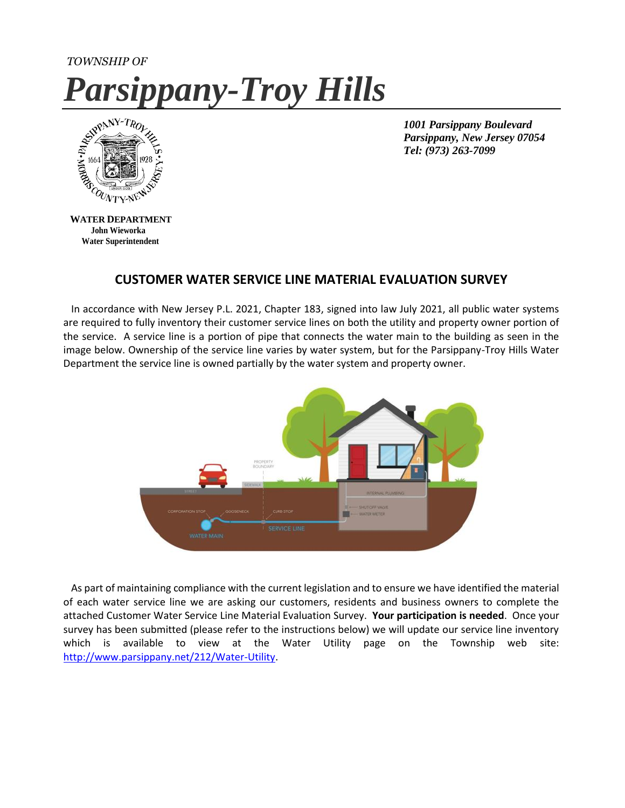# *TOWNSHIP OF Parsippany-Troy Hills*



*1001 Parsippany Boulevard Parsippany, New Jersey 07054 Tel: (973) 263-7099*

 **WATER DEPARTMENT John Wieworka Water Superintendent**

## **CUSTOMER WATER SERVICE LINE MATERIAL EVALUATION SURVEY**

 In accordance with New Jersey P.L. 2021, Chapter 183, signed into law July 2021, all public water systems are required to fully inventory their customer service lines on both the utility and property owner portion of the service. A service line is a portion of pipe that connects the water main to the building as seen in the image below. Ownership of the service line varies by water system, but for the Parsippany-Troy Hills Water Department the service line is owned partially by the water system and property owner.



 As part of maintaining compliance with the current legislation and to ensure we have identified the material of each water service line we are asking our customers, residents and business owners to complete the attached Customer Water Service Line Material Evaluation Survey. **Your participation is needed**. Once your survey has been submitted (please refer to the instructions below) we will update our service line inventory which is available to view at the Water Utility page on the Township web site: [http://www.parsippany.net/212/Water-Utility.](http://www.parsippany.net/212/Water-Utility)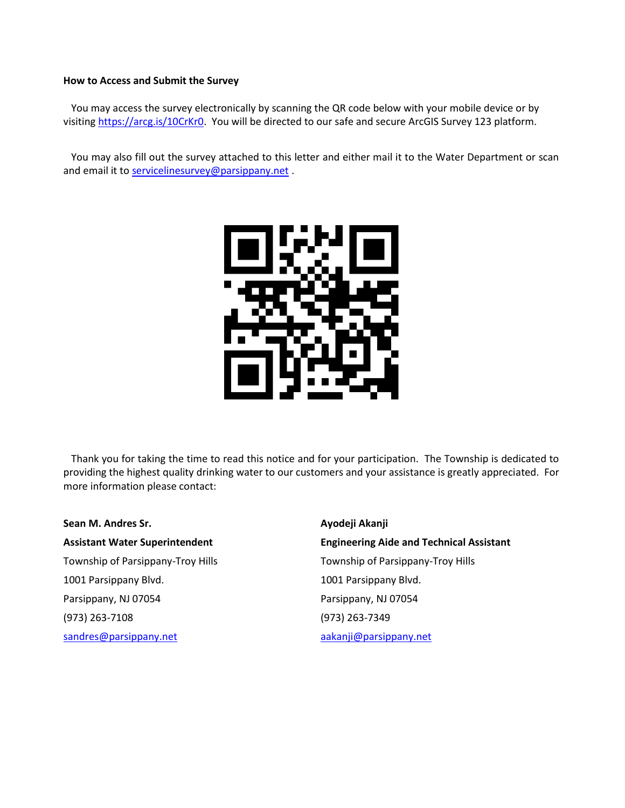#### **How to Access and Submit the Survey**

 You may access the survey electronically by scanning the QR code below with your mobile device or by visiting [https://arcg.is/10CrKr0.](https://arcg.is/10CrKr0) You will be directed to our safe and secure ArcGIS Survey 123 platform.

 You may also fill out the survey attached to this letter and either mail it to the Water Department or scan and email it to [servicelinesurvey@parsippany.net](mailto:servicelinesurvey@parsippany.net).



 Thank you for taking the time to read this notice and for your participation. The Township is dedicated to providing the highest quality drinking water to our customers and your assistance is greatly appreciated. For more information please contact:

**Sean M. Andres Sr. Ayodeji Akanji** Township of Parsippany-Troy Hills Township of Parsippany-Troy Hills 1001 Parsippany Blvd. 1001 Parsippany Blvd. Parsippany, NJ 07054 Parsippany, NJ 07054 (973) 263-7108 (973) 263-7349 [sandres@parsippany.net](mailto:sandres@parsippany.net) [aakanji@parsippany.net](mailto:aakanji@parsippany.net)

**Assistant Water Superintendent Engineering Aide and Technical Assistant**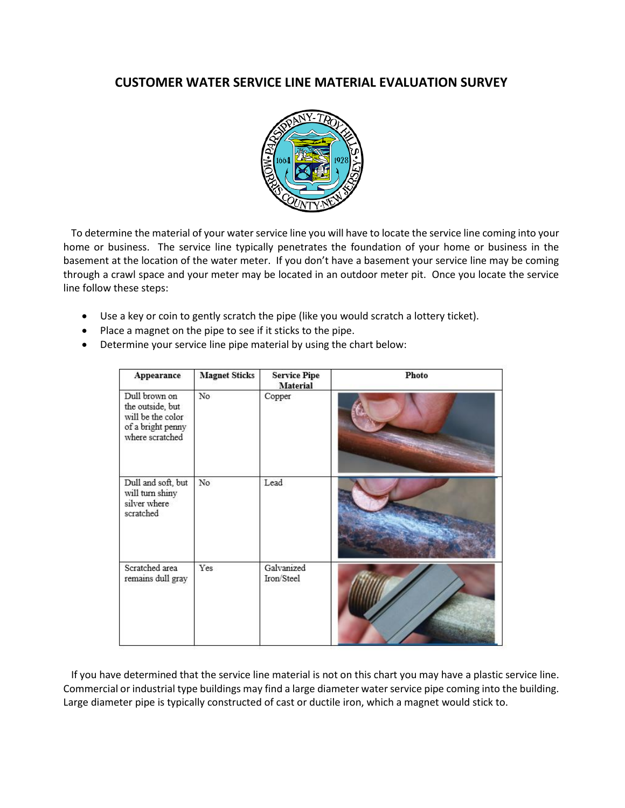## **CUSTOMER WATER SERVICE LINE MATERIAL EVALUATION SURVEY**



 To determine the material of your water service line you will have to locate the service line coming into your home or business. The service line typically penetrates the foundation of your home or business in the basement at the location of the water meter. If you don't have a basement your service line may be coming through a crawl space and your meter may be located in an outdoor meter pit. Once you locate the service line follow these steps:

- Use a key or coin to gently scratch the pipe (like you would scratch a lottery ticket).
- Place a magnet on the pipe to see if it sticks to the pipe.
- Determine your service line pipe material by using the chart below:

| Appearance                                                                                     | <b>Magnet Sticks</b> | <b>Service Pipe</b><br>Material | Photo |
|------------------------------------------------------------------------------------------------|----------------------|---------------------------------|-------|
| Dull brown on<br>the outside, but<br>will be the color<br>of a bright penny<br>where scratched | No                   | Copper                          |       |
| Dull and soft, but<br>will turn shiny<br>silver where<br>scratched                             | No                   | Lead                            |       |
| Scratched area<br>remains dull gray                                                            | Yes                  | Galvanized<br>Iron/Steel        |       |

 If you have determined that the service line material is not on this chart you may have a plastic service line. Commercial or industrial type buildings may find a large diameter water service pipe coming into the building. Large diameter pipe is typically constructed of cast or ductile iron, which a magnet would stick to.